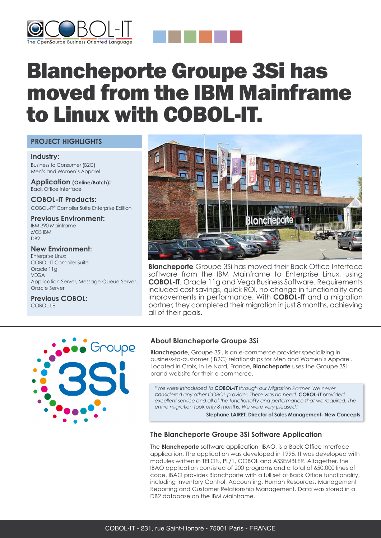



# Blancheporte Groupe 3Si has moved from the IBM Mainframe to Linux with COBOL-IT.

# **PROJECT HIGHLIGHTS**

**Industry:** Business to Consumer (B2C) Men's and Women's Apparel

**Application (Online/Batch):** Back Office Interface

**COBOL-IT Products:** COBOL-IT® Compiler Suite Enterprise Edition

**Previous Environment:** IBM 390 Mainframe z/OS IBM D<sub>B2</sub>

**New Environment:** Enterprise Linux COBOL-IT Compiler Suite Oracle 11g VEGA Application Server, Message Queue Server, Oracle Server

**Previous COBOL:** COBOL-LE



**Blancheporte** Groupe 3Si has moved their Back Office Interface software from the IBM Mainframe to Enterprise Linux, using **COBOL-IT**, Oracle 11g and Vega Business Software. Requirements included cost savings, quick ROI, no change in functionality and improvements in performance. With **COBOL-IT** and a migration partner, they completed their migration in just 8 months, achieving all of their goals.



## **About Blancheporte Groupe 3Si**

**Blancheporte**, Groupe 3Si, is an e-commerce provider specializing in business-to-customer ( B2C) relationships for Men and Women's Apparel. Located in Croix, in Le Nord, France, **Blancheporte** uses the Groupe 3Si brand website for their e-commerce.

*"We were introduced to COBOL-IT through our Migration Partner. We never considered any other COBOL provider. There was no need. COBOL-IT provided excellent service and all of the functionality and performance that we required. The entire migration took only 8 months. We were very pleased."*

**Stephane LAIRET, Director of Sales Management- New Concepts**

## **The Blancheporte Groupe 3Si Software Application**

The **Blancheporte** software application, IBAO, is a Back Office Interface application. The application was developed in 1995. It was developed with modules written in TELON, PL/1, COBOL and ASSEMBLER. Altogether, the IBAO application consisted of 200 programs and a total of 650,000 lines of code. IBAO provides Blanchporte with a full set of Back Office functionality, including Inventory Control, Accounting, Human Resources, Management Reporting and Customer Relationship Management. Data was stored in a DB2 database on the IBM Mainframe.